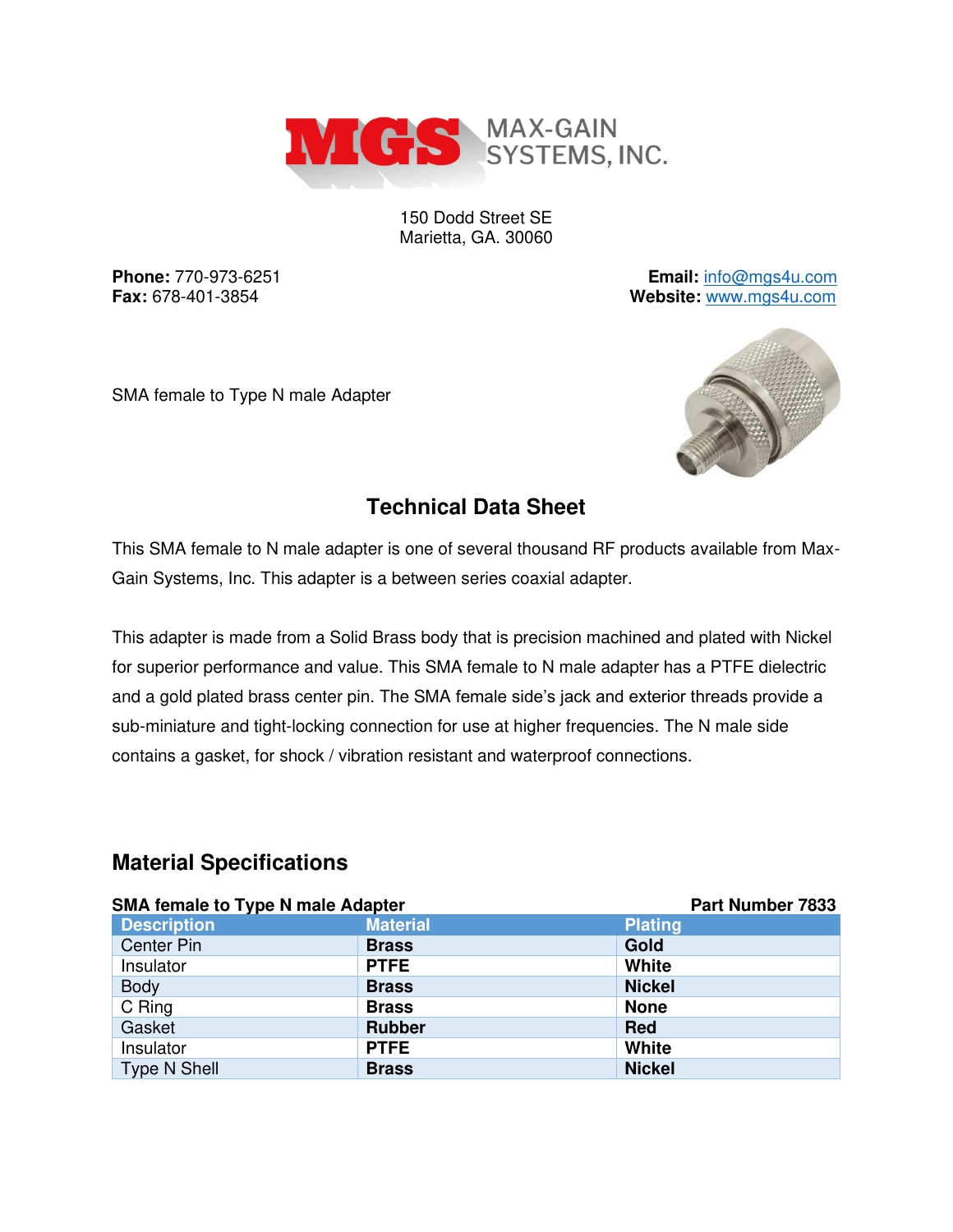

150 Dodd Street SE Marietta, GA. 30060

**Phone:** 770-973-6251 **Email:** [info@mgs4u.com](mailto:info@mgs4u.com) **Fax:** 678-401-3854 **Website:** [www.mgs4u.com](http://www.mgs4u.com/)

SMA female to Type N male Adapter



## **Technical Data Sheet**

This SMA female to N male adapter is one of several thousand RF products available from Max-Gain Systems, Inc. This adapter is a between series coaxial adapter.

This adapter is made from a Solid Brass body that is precision machined and plated with Nickel for superior performance and value. This SMA female to N male adapter has a PTFE dielectric and a gold plated brass center pin. The SMA female side's jack and exterior threads provide a sub-miniature and tight-locking connection for use at higher frequencies. The N male side contains a gasket, for shock / vibration resistant and waterproof connections.

#### **Material Specifications**

| <b>SMA female to Type N male Adapter</b> |                 | <b>Part Number 7833</b> |
|------------------------------------------|-----------------|-------------------------|
| <b>Description</b>                       | <b>Material</b> | <b>Plating</b>          |
| <b>Center Pin</b>                        | <b>Brass</b>    | Gold                    |
| Insulator                                | <b>PTFE</b>     | <b>White</b>            |
| <b>Body</b>                              | <b>Brass</b>    | <b>Nickel</b>           |
| C Ring                                   | <b>Brass</b>    | <b>None</b>             |
| Gasket                                   | <b>Rubber</b>   | Red                     |
| Insulator                                | <b>PTFE</b>     | White                   |
| <b>Type N Shell</b>                      | <b>Brass</b>    | <b>Nickel</b>           |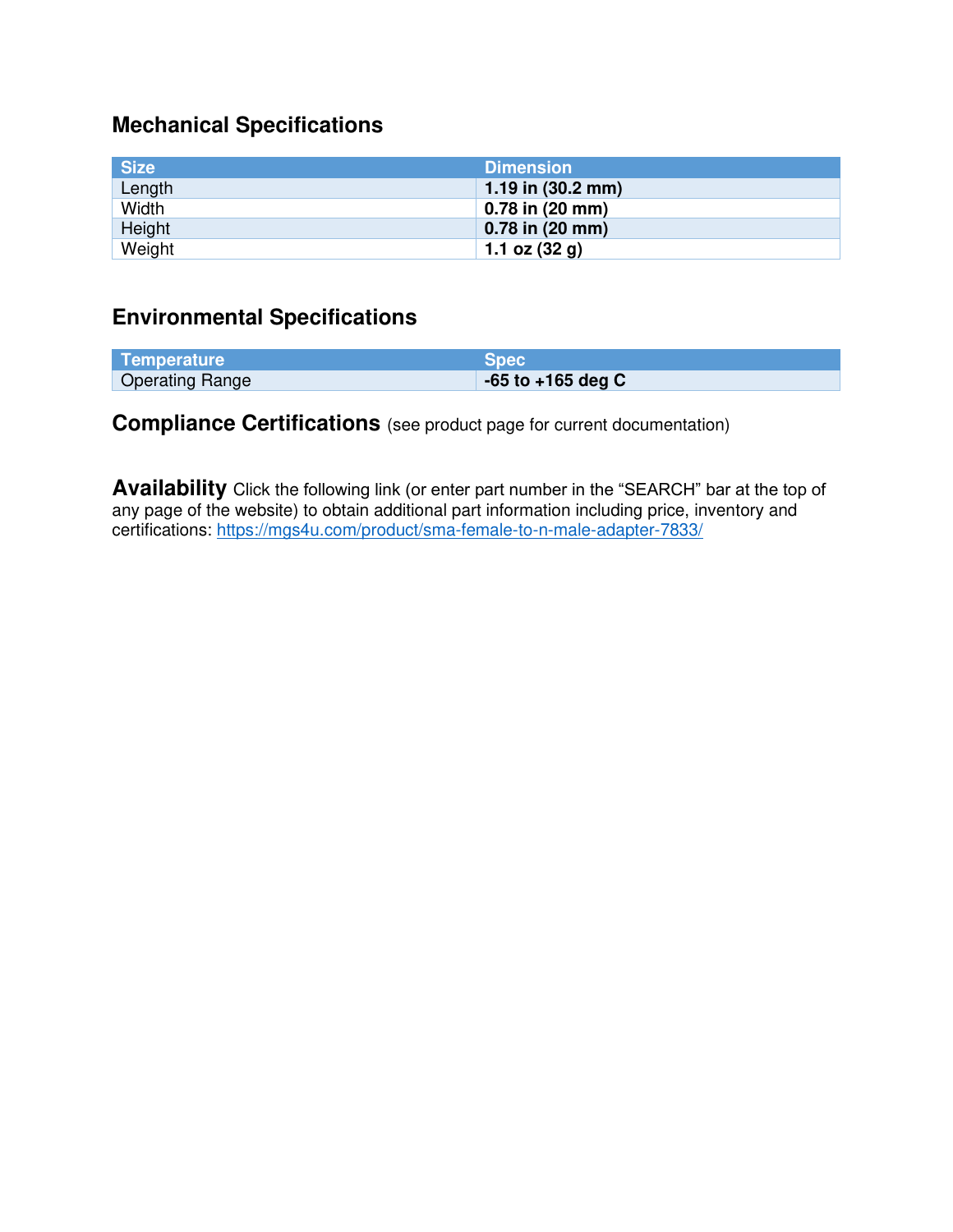# **Mechanical Specifications**

| <b>Size</b> | <b>Dimension</b>            |
|-------------|-----------------------------|
| Length      | 1.19 in $(30.2 \text{ mm})$ |
| Width       | $0.78$ in $(20$ mm)         |
| Height      | $0.78$ in $(20$ mm)         |
| Weight      | 1.1 oz $(32 g)$             |

### **Environmental Specifications**

| Temperature            | <b>Spec</b>           |
|------------------------|-----------------------|
| <b>Operating Range</b> | $-65$ to $+165$ deg C |

### **Compliance Certifications** (see product page for current documentation)

**Availability** Click the following link (or enter part number in the "SEARCH" bar at the top of any page of the website) to obtain additional part information including price, inventory and certifications:<https://mgs4u.com/product/sma-female-to-n-male-adapter-7833/>